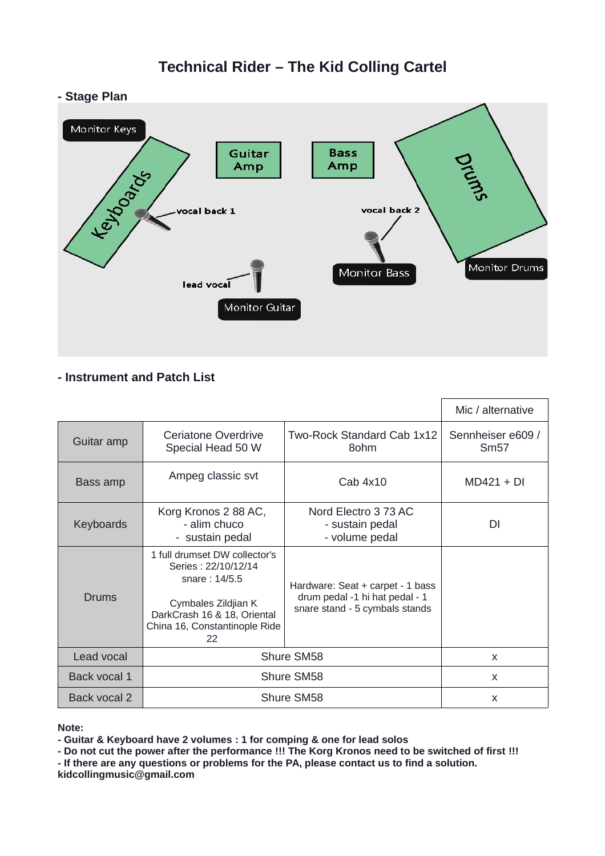# **Technical Rider – The Kid Colling Cartel**





# **- Instrument and Patch List**

|              |                                                                                                                                                                    |                                                                                                      | Mic / alternative         |
|--------------|--------------------------------------------------------------------------------------------------------------------------------------------------------------------|------------------------------------------------------------------------------------------------------|---------------------------|
| Guitar amp   | Ceriatone Overdrive<br>Special Head 50 W                                                                                                                           | Two-Rock Standard Cab 1x12<br>8ohm                                                                   | Sennheiser e609 /<br>Sm57 |
| Bass amp     | Ampeg classic svt                                                                                                                                                  | $C$ ab $4x10$                                                                                        | $MD421 + DI$              |
| Keyboards    | Korg Kronos 2 88 AC,<br>- alim chuco<br>- sustain pedal                                                                                                            | Nord Electro 3 73 AC<br>- sustain pedal<br>- volume pedal                                            | DΙ                        |
| Drums        | 1 full drumset DW collector's<br>Series: 22/10/12/14<br>snare: 14/5.5<br>Cymbales Zildjian K<br>DarkCrash 16 & 18, Oriental<br>China 16, Constantinople Ride<br>22 | Hardware: Seat + carpet - 1 bass<br>drum pedal -1 hi hat pedal - 1<br>snare stand - 5 cymbals stands |                           |
| Lead vocal   | Shure SM58                                                                                                                                                         |                                                                                                      | $\mathsf{x}$              |
| Back vocal 1 | Shure SM58                                                                                                                                                         |                                                                                                      | X                         |
| Back vocal 2 | Shure SM58                                                                                                                                                         |                                                                                                      | X                         |

**Note:** 

**- Guitar & Keyboard have 2 volumes : 1 for comping & one for lead solos**

**- Do not cut the power after the performance !!! The Korg Kronos need to be switched of first !!! - If there are any questions or problems for the PA, please contact us to find a solution.** 

**kidcollingmusic@gmail.com**